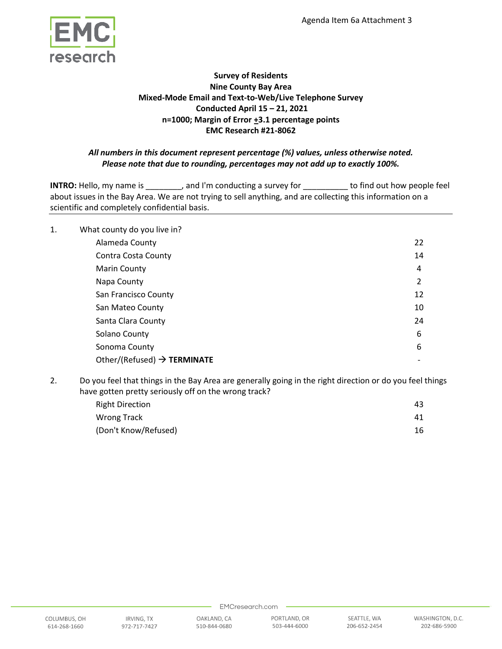

# **Survey of Residents Nine County Bay Area Mixed-Mode Email and Text-to-Web/Live Telephone Survey Conducted April 15 – 21, 2021 n=1000; Margin of Error +3.1 percentage points EMC Research #21-8062**

# *All numbers in this document represent percentage (%) values, unless otherwise noted. Please note that due to rounding, percentages may not add up to exactly 100%.*

**INTRO:** Hello, my name is \_\_\_\_\_\_\_, and I'm conducting a survey for \_\_\_\_\_\_\_\_\_ to find out how people feel about issues in the Bay Area. We are not trying to sell anything, and are collecting this information on a scientific and completely confidential basis.

| 1. | What county do you live in?             |                |
|----|-----------------------------------------|----------------|
|    | Alameda County                          | 22             |
|    | Contra Costa County                     | 14             |
|    | <b>Marin County</b>                     | 4              |
|    | Napa County                             | $\overline{2}$ |
|    | San Francisco County                    | 12             |
|    | San Mateo County                        | 10             |
|    | Santa Clara County                      | 24             |
|    | Solano County                           | 6              |
|    | Sonoma County                           | 6              |
|    | Other/(Refused) $\rightarrow$ TERMINATE |                |

2. Do you feel that things in the Bay Area are generally going in the right direction or do you feel things have gotten pretty seriously off on the wrong track?

| <b>Right Direction</b> | 43 |
|------------------------|----|
| Wrong Track            | 41 |
| (Don't Know/Refused)   | 16 |

510-844-0680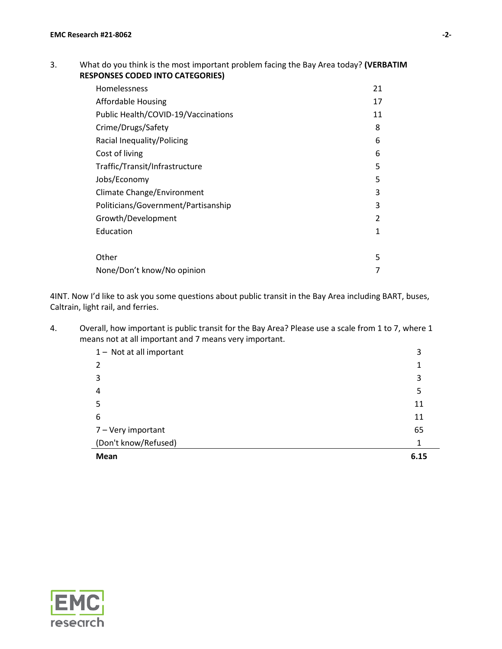# 3. What do you think is the most important problem facing the Bay Area today? **(VERBATIM RESPONSES CODED INTO CATEGORIES)**

| Homelessness                        | 21            |
|-------------------------------------|---------------|
| Affordable Housing                  | 17            |
| Public Health/COVID-19/Vaccinations | 11            |
| Crime/Drugs/Safety                  | 8             |
| Racial Inequality/Policing          | 6             |
| Cost of living                      | 6             |
| Traffic/Transit/Infrastructure      | 5             |
| Jobs/Economy                        | 5             |
| Climate Change/Environment          | 3             |
| Politicians/Government/Partisanship | 3             |
| Growth/Development                  | $\mathfrak z$ |
| Education                           | 1             |
|                                     |               |
| Other                               | 5             |
| None/Don't know/No opinion          | 7             |

4INT. Now I'd like to ask you some questions about public transit in the Bay Area including BART, buses, Caltrain, light rail, and ferries.

4. Overall, how important is public transit for the Bay Area? Please use a scale from 1 to 7, where 1 means not at all important and 7 means very important.

| 1- Not at all important | 3    |
|-------------------------|------|
| 2                       |      |
| 3                       | 3    |
| $\overline{4}$          | 5    |
| -5                      | 11   |
| 6                       | 11   |
| 7 - Very important      | 65   |
| (Don't know/Refused)    | 1    |
| Mean                    | 6.15 |

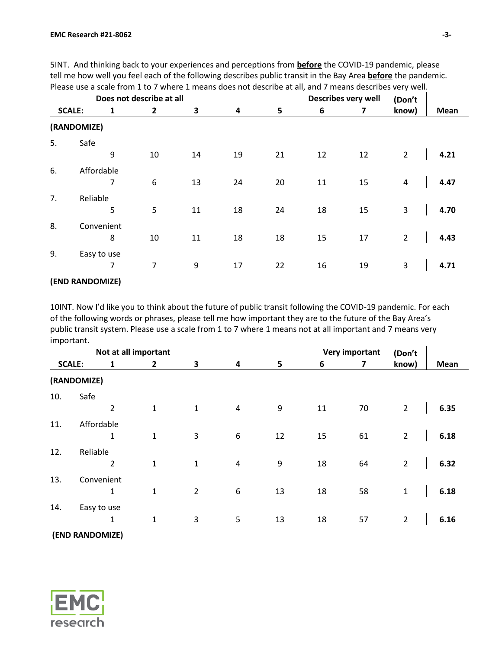|               | Does not describe at all |   |                  |    |    | Describes very well<br>(Don't |    |    |                |             |
|---------------|--------------------------|---|------------------|----|----|-------------------------------|----|----|----------------|-------------|
| <b>SCALE:</b> |                          | 1 | $\overline{2}$   | 3  | 4  | 5                             | 6  | 7  | know)          | <b>Mean</b> |
| (RANDOMIZE)   |                          |   |                  |    |    |                               |    |    |                |             |
| 5.            | Safe                     | 9 | 10               | 14 | 19 | 21                            | 12 | 12 | $\overline{2}$ | 4.21        |
| 6.            | Affordable               | 7 | $\boldsymbol{6}$ | 13 | 24 | 20                            | 11 | 15 | $\overline{a}$ | 4.47        |
| 7.            | Reliable                 | 5 | 5                | 11 | 18 | 24                            | 18 | 15 | 3              | 4.70        |
| 8.            | Convenient               | 8 | 10               | 11 | 18 | 18                            | 15 | 17 | $\overline{2}$ | 4.43        |
| 9.            | Easy to use              | 7 | $\overline{7}$   | 9  | 17 | 22                            | 16 | 19 | 3              | 4.71        |

5INT. And thinking back to your experiences and perceptions from **before** the COVID-19 pandemic, please tell me how well you feel each of the following describes public transit in the Bay Area **before** the pandemic. Please use a scale from 1 to 7 where 1 means does not describe at all, and 7 means describes very well.

### **(END RANDOMIZE)**

10INT. Now I'd like you to think about the future of public transit following the COVID-19 pandemic. For each of the following words or phrases, please tell me how important they are to the future of the Bay Area's public transit system. Please use a scale from 1 to 7 where 1 means not at all important and 7 means very important.  $\mathbf{r}$ 

|               |                 | Not at all important |                |                         |    | <b>Very important</b> |    | (Don't         |      |
|---------------|-----------------|----------------------|----------------|-------------------------|----|-----------------------|----|----------------|------|
| <b>SCALE:</b> | 1               | $\overline{2}$       | 3              | $\overline{\mathbf{4}}$ | 5  | 6                     | 7  | know)          | Mean |
|               | (RANDOMIZE)     |                      |                |                         |    |                       |    |                |      |
| 10.           | Safe            |                      |                |                         |    |                       |    |                |      |
|               | $\overline{2}$  | $\mathbf{1}$         | $\mathbf{1}$   | $\overline{4}$          | 9  | 11                    | 70 | $\overline{2}$ | 6.35 |
| 11.           | Affordable      |                      |                |                         |    |                       |    |                |      |
|               | $\mathbf{1}$    | $\mathbf{1}$         | 3              | 6                       | 12 | 15                    | 61 | $\overline{2}$ | 6.18 |
| 12.           | Reliable        |                      |                |                         |    |                       |    |                |      |
|               | $\overline{2}$  | $\mathbf{1}$         | $\mathbf{1}$   | $\overline{4}$          | 9  | 18                    | 64 | $\overline{2}$ | 6.32 |
| 13.           | Convenient      |                      |                |                         |    |                       |    |                |      |
|               | 1               | $\mathbf{1}$         | $\overline{2}$ | 6                       | 13 | 18                    | 58 | $\mathbf{1}$   | 6.18 |
| 14.           | Easy to use     |                      |                |                         |    |                       |    |                |      |
|               | 1               | $\mathbf{1}$         | $\mathsf 3$    | 5                       | 13 | 18                    | 57 | $\overline{2}$ | 6.16 |
|               | (END RANDOMIZE) |                      |                |                         |    |                       |    |                |      |

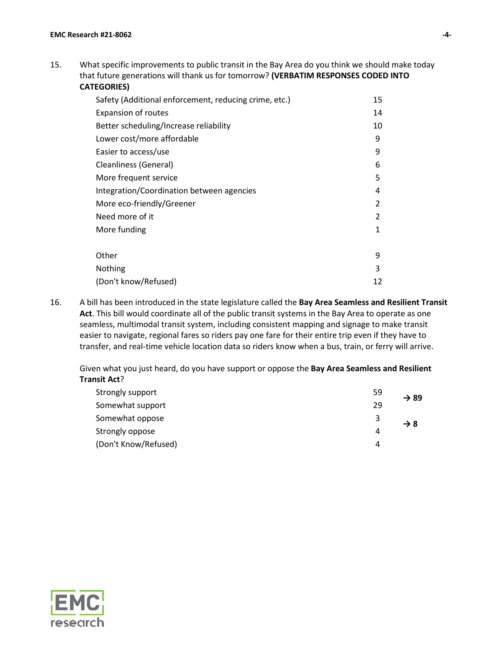15. What specific improvements to public transit in the Bay Area do you think we should make today that future generations will thank us for tomorrow? **(VERBATIM RESPONSES CODED INTO CATEGORIES)**

| Safety (Additional enforcement, reducing crime, etc.) | 15 |
|-------------------------------------------------------|----|
| <b>Expansion of routes</b>                            | 14 |
| Better scheduling/Increase reliability                | 10 |
| Lower cost/more affordable                            | 9  |
| Easier to access/use                                  | 9  |
| Cleanliness (General)                                 | 6  |
| More frequent service                                 | 5  |
| Integration/Coordination between agencies             | 4  |
| More eco-friendly/Greener                             | 2  |
| Need more of it                                       | 2  |
| More funding                                          | 1  |
| Other                                                 | 9  |
| Nothing                                               | 3  |
| (Don't know/Refused)                                  | 12 |

16. A bill has been introduced in the state legislature called the **Bay Area Seamless and Resilient Transit Act**. This bill would coordinate all of the public transit systems in the Bay Area to operate as one seamless, multimodal transit system, including consistent mapping and signage to make transit easier to navigate, regional fares so riders pay one fare for their entire trip even if they have to transfer, and real-time vehicle location data so riders know when a bus, train, or ferry will arrive.

Given what you just heard, do you have support or oppose the **Bay Area Seamless and Resilient Transit Act**?

| Strongly support     | 59 | $\rightarrow$ 89 |
|----------------------|----|------------------|
| Somewhat support     | 29 |                  |
| Somewhat oppose      | 3  | $\rightarrow 8$  |
| Strongly oppose      | 4  |                  |
| (Don't Know/Refused) | 4  |                  |

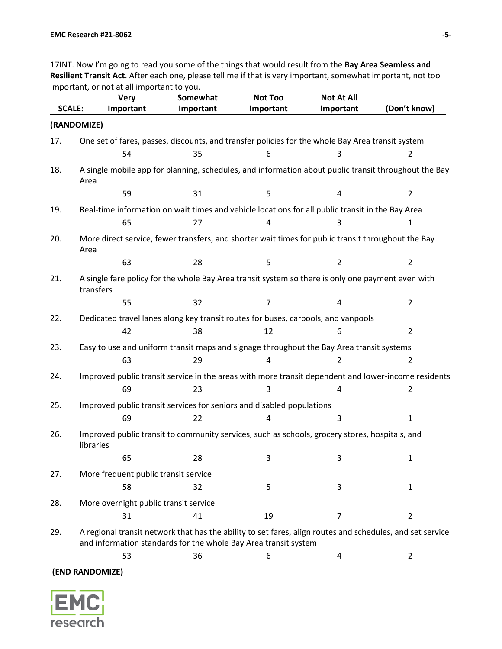17INT. Now I'm going to read you some of the things that would result from the **Bay Area Seamless and Resilient Transit Act**. After each one, please tell me if that is very important, somewhat important, not too important, or not at all important to you.

|               | <b>Very</b>                                                                                                                                                                  | Somewhat  | <b>Not Too</b> | <b>Not At All</b> | (Don't know)   |
|---------------|------------------------------------------------------------------------------------------------------------------------------------------------------------------------------|-----------|----------------|-------------------|----------------|
| <b>SCALE:</b> | Important                                                                                                                                                                    | Important | Important      | Important         |                |
| (RANDOMIZE)   |                                                                                                                                                                              |           |                |                   |                |
| 17.           | One set of fares, passes, discounts, and transfer policies for the whole Bay Area transit system                                                                             |           |                |                   |                |
|               | 54                                                                                                                                                                           | 35        | 6              | 3                 | $\overline{2}$ |
| 18.           | A single mobile app for planning, schedules, and information about public transit throughout the Bay<br>Area                                                                 |           |                |                   |                |
|               | 59                                                                                                                                                                           | 31        | 5              | 4                 | $\overline{2}$ |
| 19.           | Real-time information on wait times and vehicle locations for all public transit in the Bay Area                                                                             |           |                |                   |                |
|               | 65                                                                                                                                                                           | 27        | 4              | 3                 | 1              |
| 20.           | More direct service, fewer transfers, and shorter wait times for public transit throughout the Bay<br>Area                                                                   |           |                |                   |                |
|               | 63                                                                                                                                                                           | 28        | 5              | $\overline{2}$    | $\overline{2}$ |
| 21.           | A single fare policy for the whole Bay Area transit system so there is only one payment even with<br>transfers                                                               |           |                |                   |                |
|               | 55                                                                                                                                                                           | 32        | $\overline{7}$ | 4                 | $\overline{2}$ |
| 22.           | Dedicated travel lanes along key transit routes for buses, carpools, and vanpools                                                                                            |           |                |                   |                |
|               | 42                                                                                                                                                                           | 38        | 12             | 6                 | $\overline{2}$ |
| 23.           | Easy to use and uniform transit maps and signage throughout the Bay Area transit systems                                                                                     |           |                |                   |                |
|               | 63                                                                                                                                                                           | 29        | 4              | $\overline{2}$    | $\overline{2}$ |
| 24.           | Improved public transit service in the areas with more transit dependent and lower-income residents                                                                          |           |                |                   |                |
|               | 69                                                                                                                                                                           | 23        | 3              | 4                 | $\overline{2}$ |
| 25.           | Improved public transit services for seniors and disabled populations                                                                                                        |           |                |                   |                |
|               | 69                                                                                                                                                                           | 22        | 4              | 3                 | $\mathbf{1}$   |
| 26.           | Improved public transit to community services, such as schools, grocery stores, hospitals, and<br>libraries                                                                  |           |                |                   |                |
|               | 65                                                                                                                                                                           | 28        | 3              | 3                 | 1              |
| 27.           | More frequent public transit service                                                                                                                                         |           |                |                   |                |
|               | 58                                                                                                                                                                           | 32        | 5              | 3                 | 1              |
| 28.           | More overnight public transit service                                                                                                                                        |           |                |                   |                |
|               | 31                                                                                                                                                                           | 41        | 19             | 7                 | $\overline{2}$ |
| 29.           | A regional transit network that has the ability to set fares, align routes and schedules, and set service<br>and information standards for the whole Bay Area transit system |           |                |                   |                |
|               | 53                                                                                                                                                                           | 36        | 6              | 4                 | $\overline{2}$ |
|               |                                                                                                                                                                              |           |                |                   |                |

**(END RANDOMIZE)**

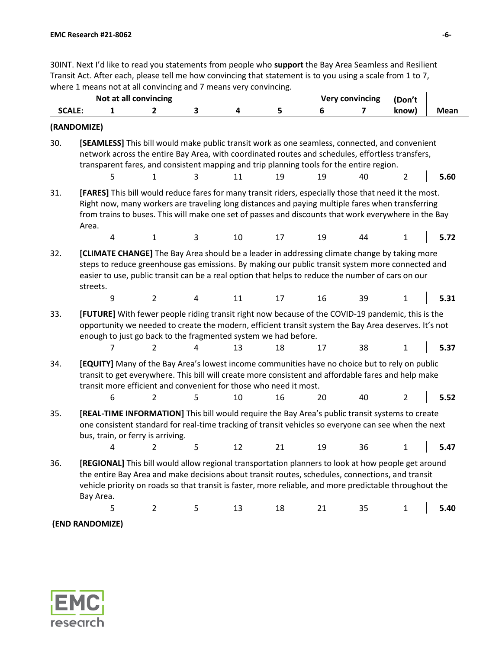30INT. Next I'd like to read you statements from people who **support** the Bay Area Seamless and Resilient Transit Act. After each, please tell me how convincing that statement is to you using a scale from 1 to 7, where 1 means not at all convincing and 7 means very convincing.

|               | Not at all convincing                                                                                                                                                                                                                                                                                                          |                |            |    |    |    | <b>Very convincing</b> | (Don't         |      |
|---------------|--------------------------------------------------------------------------------------------------------------------------------------------------------------------------------------------------------------------------------------------------------------------------------------------------------------------------------|----------------|------------|----|----|----|------------------------|----------------|------|
| <b>SCALE:</b> | 1                                                                                                                                                                                                                                                                                                                              | $\mathbf{2}$   | 3          | 4  | 5  | 6  | 7                      | know)          | Mean |
| (RANDOMIZE)   |                                                                                                                                                                                                                                                                                                                                |                |            |    |    |    |                        |                |      |
| 30.           | [SEAMLESS] This bill would make public transit work as one seamless, connected, and convenient<br>network across the entire Bay Area, with coordinated routes and schedules, effortless transfers,<br>transparent fares, and consistent mapping and trip planning tools for the entire region.                                 |                |            |    | 19 | 19 | 40                     | $\overline{2}$ | 5.60 |
|               | 5                                                                                                                                                                                                                                                                                                                              | 1              | 3          | 11 |    |    |                        |                |      |
| 31.           | [FARES] This bill would reduce fares for many transit riders, especially those that need it the most.<br>Right now, many workers are traveling long distances and paying multiple fares when transferring<br>from trains to buses. This will make one set of passes and discounts that work everywhere in the Bay<br>Area.     |                |            |    |    |    |                        |                |      |
|               | 4                                                                                                                                                                                                                                                                                                                              | $\mathbf{1}$   | 3          | 10 | 17 | 19 | 44                     | 1              | 5.72 |
| 32.           | [CLIMATE CHANGE] The Bay Area should be a leader in addressing climate change by taking more<br>steps to reduce greenhouse gas emissions. By making our public transit system more connected and<br>easier to use, public transit can be a real option that helps to reduce the number of cars on our<br>streets.<br>9         | $\overline{2}$ | $\sqrt{4}$ | 11 | 17 | 16 | 39                     | 1              | 5.31 |
|               |                                                                                                                                                                                                                                                                                                                                |                |            |    |    |    |                        |                |      |
| 33.           | [FUTURE] With fewer people riding transit right now because of the COVID-19 pandemic, this is the<br>opportunity we needed to create the modern, efficient transit system the Bay Area deserves. It's not<br>enough to just go back to the fragmented system we had before.                                                    |                |            |    |    |    |                        |                |      |
|               | 7                                                                                                                                                                                                                                                                                                                              | 2              | 4          | 13 | 18 | 17 | 38                     | 1              | 5.37 |
| 34.           | [EQUITY] Many of the Bay Area's lowest income communities have no choice but to rely on public<br>transit to get everywhere. This bill will create more consistent and affordable fares and help make<br>transit more efficient and convenient for those who need it most.                                                     |                |            |    |    |    |                        |                |      |
|               | 6                                                                                                                                                                                                                                                                                                                              | 2              | 5          | 10 | 16 | 20 | 40                     | 2              | 5.52 |
| 35.           | [REAL-TIME INFORMATION] This bill would require the Bay Area's public transit systems to create<br>one consistent standard for real-time tracking of transit vehicles so everyone can see when the next<br>bus, train, or ferry is arriving.                                                                                   |                |            |    |    |    |                        |                |      |
|               | 4                                                                                                                                                                                                                                                                                                                              | 2              | 5          | 12 | 21 | 19 | 36                     | 1              | 5.47 |
| 36.           | [REGIONAL] This bill would allow regional transportation planners to look at how people get around<br>the entire Bay Area and make decisions about transit routes, schedules, connections, and transit<br>vehicle priority on roads so that transit is faster, more reliable, and more predictable throughout the<br>Bay Area. |                |            |    |    |    |                        |                |      |
|               | 5                                                                                                                                                                                                                                                                                                                              | $\overline{2}$ | 5          | 13 | 18 | 21 | 35                     | $\mathbf{1}$   | 5.40 |
|               | (END RANDOMIZE)                                                                                                                                                                                                                                                                                                                |                |            |    |    |    |                        |                |      |

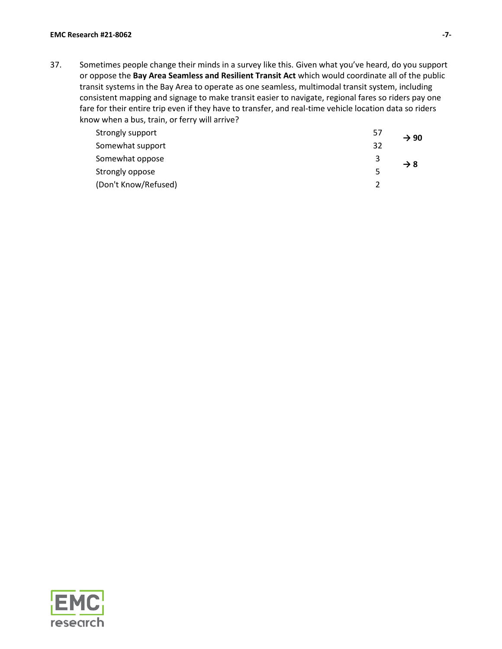37. Sometimes people change their minds in a survey like this. Given what you've heard, do you support or oppose the **Bay Area Seamless and Resilient Transit Act** which would coordinate all of the public transit systems in the Bay Area to operate as one seamless, multimodal transit system, including consistent mapping and signage to make transit easier to navigate, regional fares so riders pay one fare for their entire trip even if they have to transfer, and real-time vehicle location data so riders know when a bus, train, or ferry will arrive?

| Strongly support     | 57 | $\rightarrow 90$ |
|----------------------|----|------------------|
| Somewhat support     | 32 |                  |
| Somewhat oppose      |    | $\rightarrow$ 8  |
| Strongly oppose      | 5  |                  |
| (Don't Know/Refused) |    |                  |

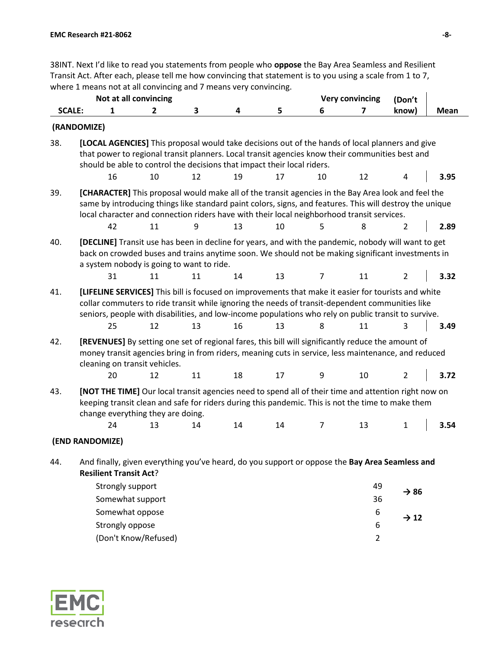38INT. Next I'd like to read you statements from people who **oppose** the Bay Area Seamless and Resilient Transit Act. After each, please tell me how convincing that statement is to you using a scale from 1 to 7, where 1 means not at all convincing and 7 means very convincing.

|               | Not at all convincing                                                                                                                                                                                                                                                                                                |              |    |    |    |                | <b>Very convincing</b> | (Don't           |             |
|---------------|----------------------------------------------------------------------------------------------------------------------------------------------------------------------------------------------------------------------------------------------------------------------------------------------------------------------|--------------|----|----|----|----------------|------------------------|------------------|-------------|
| <b>SCALE:</b> | 1                                                                                                                                                                                                                                                                                                                    | $\mathbf{2}$ | 3  | 4  | 5  | 6              | 7                      | know)            | <b>Mean</b> |
|               | (RANDOMIZE)                                                                                                                                                                                                                                                                                                          |              |    |    |    |                |                        |                  |             |
| 38.           | [LOCAL AGENCIES] This proposal would take decisions out of the hands of local planners and give<br>that power to regional transit planners. Local transit agencies know their communities best and<br>should be able to control the decisions that impact their local riders.                                        |              |    |    |    |                |                        |                  |             |
|               | 16                                                                                                                                                                                                                                                                                                                   | 10           | 12 | 19 | 17 | 10             | 12                     | 4                | 3.95        |
| 39.           | [CHARACTER] This proposal would make all of the transit agencies in the Bay Area look and feel the<br>same by introducing things like standard paint colors, signs, and features. This will destroy the unique<br>local character and connection riders have with their local neighborhood transit services.         |              |    |    |    |                |                        |                  |             |
|               | 42                                                                                                                                                                                                                                                                                                                   | 11           | 9  | 13 | 10 | 5              | 8                      | $\overline{2}$   | 2.89        |
| 40.           | [DECLINE] Transit use has been in decline for years, and with the pandemic, nobody will want to get<br>back on crowded buses and trains anytime soon. We should not be making significant investments in<br>a system nobody is going to want to ride.                                                                |              |    |    |    |                |                        |                  |             |
|               | 31                                                                                                                                                                                                                                                                                                                   | 11           | 11 | 14 | 13 | 7              | 11                     | 2                | 3.32        |
| 41.           | [LIFELINE SERVICES] This bill is focused on improvements that make it easier for tourists and white<br>collar commuters to ride transit while ignoring the needs of transit-dependent communities like<br>seniors, people with disabilities, and low-income populations who rely on public transit to survive.<br>25 | 12           | 13 | 16 | 13 | 8              | 11                     | 3                | 3.49        |
| 42.           | [REVENUES] By setting one set of regional fares, this bill will significantly reduce the amount of<br>money transit agencies bring in from riders, meaning cuts in service, less maintenance, and reduced<br>cleaning on transit vehicles.<br>20                                                                     | 12           | 11 | 18 | 17 | 9              | 10                     | $\overline{2}$   | 3.72        |
| 43.           | [NOT THE TIME] Our local transit agencies need to spend all of their time and attention right now on<br>keeping transit clean and safe for riders during this pandemic. This is not the time to make them<br>change everything they are doing.<br>24                                                                 | 13           | 14 | 14 | 14 | $\overline{7}$ | 13                     | 1                | 3.54        |
|               | (END RANDOMIZE)                                                                                                                                                                                                                                                                                                      |              |    |    |    |                |                        |                  |             |
| 44.           | And finally, given everything you've heard, do you support or oppose the Bay Area Seamless and<br><b>Resilient Transit Act?</b>                                                                                                                                                                                      |              |    |    |    |                |                        |                  |             |
|               | Strongly support<br>Somewhat support                                                                                                                                                                                                                                                                                 |              |    |    |    |                | 49<br>36               | $\rightarrow$ 86 |             |
|               | Somewhat oppose<br>Strongly oppose                                                                                                                                                                                                                                                                                   |              |    |    |    |                | 6<br>6                 | $\rightarrow$ 12 |             |

(Don't Know/Refused) 2

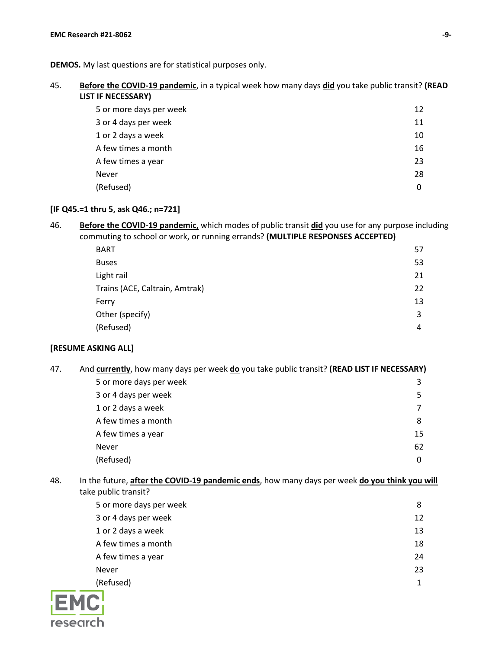45. **Before the COVID-19 pandemic**, in a typical week how many days **did** you take public transit? **(READ LIST IF NECESSARY)**

| 5 or more days per week | 12 |
|-------------------------|----|
| 3 or 4 days per week    | 11 |
| 1 or 2 days a week      | 10 |
| A few times a month     | 16 |
| A few times a year      | 23 |
| Never                   | 28 |
| (Refused)               | 0  |

#### **[IF Q45.=1 thru 5, ask Q46.; n=721]**

46. **Before the COVID-19 pandemic,** which modes of public transit **did** you use for any purpose including commuting to school or work, or running errands? **(MULTIPLE RESPONSES ACCEPTED)**

| <b>BART</b>                    | 57 |
|--------------------------------|----|
| <b>Buses</b>                   | 53 |
| Light rail                     | 21 |
| Trains (ACE, Caltrain, Amtrak) | 22 |
| Ferry                          | 13 |
| Other (specify)                | 3  |
| (Refused)                      | 4  |

#### **[RESUME ASKING ALL]**

- 47. And **currently**, how many days per week **do** you take public transit? **(READ LIST IF NECESSARY)** 5 or more days per week 3 3 or 4 days per week 5 1 or 2 days a week 7 A few times a month 8 A few times a year 15 Never 62 (Refused) 0
- 48. In the future, **after the COVID-19 pandemic ends**, how many days per week **do you think you will** take public transit?

| 5 or more days per week | 8  |
|-------------------------|----|
| 3 or 4 days per week    | 12 |
| 1 or 2 days a week      | 13 |
| A few times a month     | 18 |
| A few times a year      | 24 |
| <b>Never</b>            | 23 |
| (Refused)               |    |

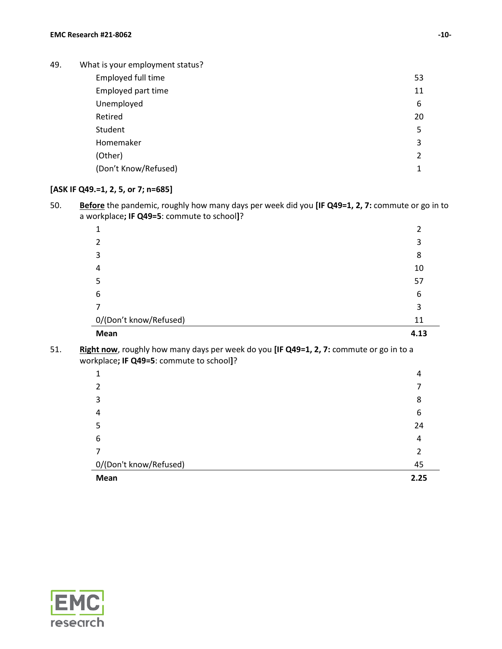49. What is your employment status? Employed full time 53 Employed part time 11 Unemployed 6 Retired 20 Student 5 Homemaker 3 (Other) 2 (Don't Know/Refused) 1

### **[ASK IF Q49.=1, 2, 5, or 7; n=685]**

50. **Before** the pandemic, roughly how many days per week did you **[IF Q49=1, 2, 7:** commute or go in to a workplace**; IF Q49=5**: commute to school**]**?

|                        | 3    |
|------------------------|------|
| 3                      | 8    |
| 4                      | 10   |
| 5                      | 57   |
| 6                      | 6    |
|                        | 3    |
| 0/(Don't know/Refused) | 11   |
| Mean                   | 4.13 |

51. **Right now**, roughly how many days per week do you **[IF Q49=1, 2, 7:** commute or go in to a workplace**; IF Q49=5**: commute to school**]**?

| и                      | 4    |
|------------------------|------|
| 2                      |      |
| 3                      | 8    |
| 4                      | 6    |
| 5                      | 24   |
| 6                      | 4    |
|                        |      |
| 0/(Don't know/Refused) | 45   |
| Mean                   | 2.25 |

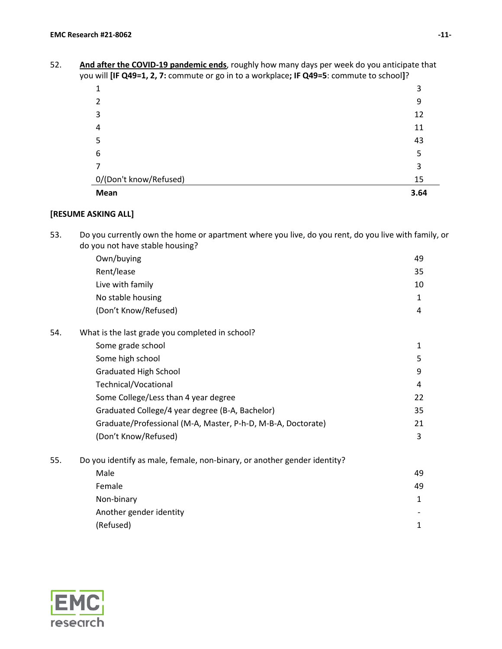52. **And after the COVID-19 pandemic ends**, roughly how many days per week do you anticipate that you will **[IF Q49=1, 2, 7:** commute or go in to a workplace**; IF Q49=5**: commute to school**]**?

| Mean                                                                                                                                | 3.64 |
|-------------------------------------------------------------------------------------------------------------------------------------|------|
| 0/(Don't know/Refused)                                                                                                              | 15   |
|                                                                                                                                     | 3    |
| 6                                                                                                                                   | 5    |
| 5                                                                                                                                   | 43   |
| 4                                                                                                                                   | 11   |
|                                                                                                                                     | 12   |
|                                                                                                                                     | 9    |
| 1                                                                                                                                   | 3    |
| a will be $\left(1 - \frac{1}{2} \right)$ . Commute of go in to a workplace, if $\left(1 - \frac{1}{2} \right)$ commute to sensely. |      |

### **[RESUME ASKING ALL]**

53. Do you currently own the home or apartment where you live, do you rent, do you live with family, or do you not have stable housing?

|     | Own/buying                                                               | 49           |
|-----|--------------------------------------------------------------------------|--------------|
|     | Rent/lease                                                               | 35           |
|     | Live with family                                                         | 10           |
|     | No stable housing                                                        | $\mathbf{1}$ |
|     | (Don't Know/Refused)                                                     | 4            |
| 54. | What is the last grade you completed in school?                          |              |
|     | Some grade school                                                        | 1            |
|     | Some high school                                                         | 5            |
|     | <b>Graduated High School</b>                                             | 9            |
|     | Technical/Vocational                                                     | 4            |
|     | Some College/Less than 4 year degree                                     | 22           |
|     | Graduated College/4 year degree (B-A, Bachelor)                          | 35           |
|     | Graduate/Professional (M-A, Master, P-h-D, M-B-A, Doctorate)             | 21           |
|     | (Don't Know/Refused)                                                     | 3            |
| 55. | Do you identify as male, female, non-binary, or another gender identity? |              |
|     | Male                                                                     | 49           |
|     | Female                                                                   | 49           |
|     | Non-binary                                                               | 1            |
|     | Another gender identity                                                  |              |
|     | (Refused)                                                                | 1            |
|     |                                                                          |              |